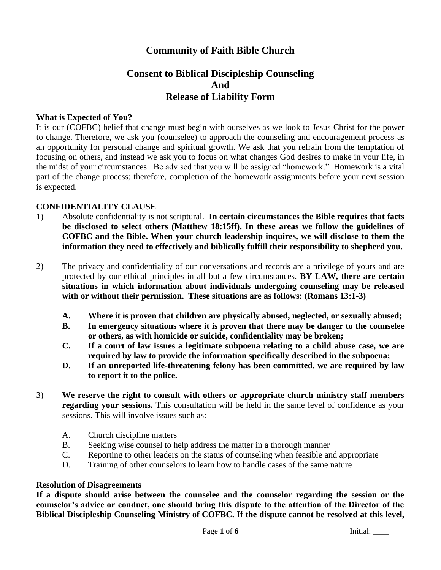# **Community of Faith Bible Church**

# **Consent to Biblical Discipleship Counseling And Release of Liability Form**

#### **What is Expected of You?**

It is our (COFBC) belief that change must begin with ourselves as we look to Jesus Christ for the power to change. Therefore, we ask you (counselee) to approach the counseling and encouragement process as an opportunity for personal change and spiritual growth. We ask that you refrain from the temptation of focusing on others, and instead we ask you to focus on what changes God desires to make in your life, in the midst of your circumstances. Be advised that you will be assigned "homework." Homework is a vital part of the change process; therefore, completion of the homework assignments before your next session is expected.

#### **CONFIDENTIALITY CLAUSE**

- 1) Absolute confidentiality is not scriptural. **In certain circumstances the Bible requires that facts be disclosed to select others (Matthew 18:15ff). In these areas we follow the guidelines of COFBC and the Bible. When your church leadership inquires, we will disclose to them the information they need to effectively and biblically fulfill their responsibility to shepherd you.**
- 2) The privacy and confidentiality of our conversations and records are a privilege of yours and are protected by our ethical principles in all but a few circumstances. **BY LAW, there are certain situations in which information about individuals undergoing counseling may be released with or without their permission. These situations are as follows: (Romans 13:1-3)**
	- **A. Where it is proven that children are physically abused, neglected, or sexually abused;**
	- **B. In emergency situations where it is proven that there may be danger to the counselee or others, as with homicide or suicide, confidentiality may be broken;**
	- **C. If a court of law issues a legitimate subpoena relating to a child abuse case, we are required by law to provide the information specifically described in the subpoena;**
	- **D. If an unreported life-threatening felony has been committed, we are required by law to report it to the police.**
- 3) **We reserve the right to consult with others or appropriate church ministry staff members regarding your sessions.** This consultation will be held in the same level of confidence as your sessions. This will involve issues such as:
	- A. Church discipline matters
	- B. Seeking wise counsel to help address the matter in a thorough manner
	- C. Reporting to other leaders on the status of counseling when feasible and appropriate
	- D. Training of other counselors to learn how to handle cases of the same nature

#### **Resolution of Disagreements**

**If a dispute should arise between the counselee and the counselor regarding the session or the counselor's advice or conduct, one should bring this dispute to the attention of the Director of the Biblical Discipleship Counseling Ministry of COFBC. If the dispute cannot be resolved at this level,**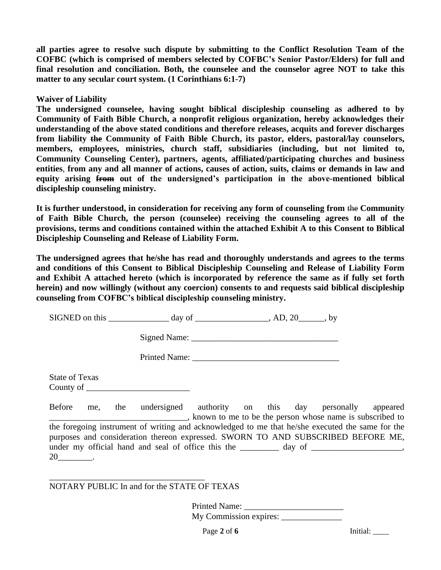**all parties agree to resolve such dispute by submitting to the Conflict Resolution Team of the COFBC (which is comprised of members selected by COFBC's Senior Pastor/Elders) for full and final resolution and conciliation. Both, the counselee and the counselor agree NOT to take this matter to any secular court system. (1 Corinthians 6:1-7)**

**Waiver of Liability**

**The undersigned counselee, having sought biblical discipleship counseling as adhered to by Community of Faith Bible Church, a nonprofit religious organization, hereby acknowledges their understanding of the above stated conditions and therefore releases, acquits and forever discharges from liability the Community of Faith Bible Church, its pastor, elders, pastoral/lay counselors, members, employees, ministries, church staff, subsidiaries (including, but not limited to, Community Counseling Center), partners, agents, affiliated/participating churches and business entities**, **from any and all manner of actions, causes of action, suits, claims or demands in law and equity arising from out of the undersigned's participation in the above-mentioned biblical discipleship counseling ministry.**

**It is further understood, in consideration for receiving any form of counseling from** the **Community of Faith Bible Church, the person (counselee) receiving the counseling agrees to all of the provisions, terms and conditions contained within the attached Exhibit A to this Consent to Biblical Discipleship Counseling and Release of Liability Form.**

**The undersigned agrees that he/she has read and thoroughly understands and agrees to the terms and conditions of this Consent to Biblical Discipleship Counseling and Release of Liability Form and Exhibit A attached hereto (which is incorporated by reference the same as if fully set forth herein) and now willingly (without any coercion) consents to and requests said biblical discipleship counseling from COFBC's biblical discipleship counseling ministry.**

| SIGNED on this | <b>dav</b> | Δ | <u>າເ</u> |
|----------------|------------|---|-----------|
|----------------|------------|---|-----------|

Signed Name:

Printed Name:

| <b>State of Texas</b> |  |  |
|-----------------------|--|--|
| County of             |  |  |

Before me, the undersigned authority on this day personally appeared \_\_\_\_\_\_\_\_\_\_\_\_\_\_\_\_\_\_\_\_\_\_\_\_\_\_\_\_\_\_\_\_, known to me to be the person whose name is subscribed to the foregoing instrument of writing and acknowledged to me that he/she executed the same for the purposes and consideration thereon expressed. SWORN TO AND SUBSCRIBED BEFORE ME, under my official hand and seal of office this the \_\_\_\_\_\_\_\_ day of \_\_\_\_\_\_\_\_\_\_\_\_\_\_\_, 20\_\_\_\_\_\_\_\_.

NOTARY PUBLIC In and for the STATE OF TEXAS

\_\_\_\_\_\_\_\_\_\_\_\_\_\_\_\_\_\_\_\_\_\_\_\_\_\_\_\_\_\_\_\_\_\_\_\_

Printed Name: My Commission expires: \_\_\_\_\_\_\_\_\_\_\_\_\_\_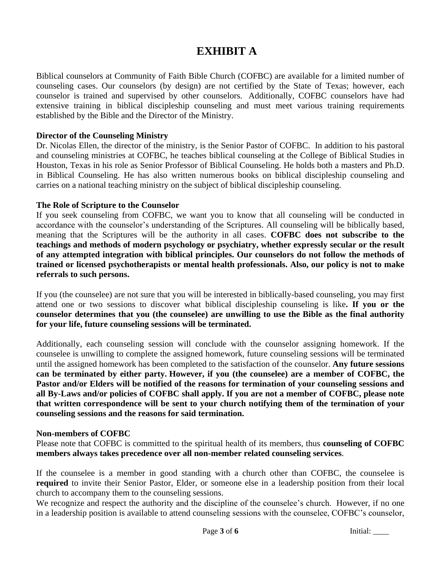# **EXHIBIT A**

Biblical counselors at Community of Faith Bible Church (COFBC) are available for a limited number of counseling cases. Our counselors (by design) are not certified by the State of Texas; however, each counselor is trained and supervised by other counselors. Additionally, COFBC counselors have had extensive training in biblical discipleship counseling and must meet various training requirements established by the Bible and the Director of the Ministry.

#### **Director of the Counseling Ministry**

Dr. Nicolas Ellen, the director of the ministry, is the Senior Pastor of COFBC. In addition to his pastoral and counseling ministries at COFBC, he teaches biblical counseling at the College of Biblical Studies in Houston, Texas in his role as Senior Professor of Biblical Counseling. He holds both a masters and Ph.D. in Biblical Counseling. He has also written numerous books on biblical discipleship counseling and carries on a national teaching ministry on the subject of biblical discipleship counseling.

#### **The Role of Scripture to the Counselor**

If you seek counseling from COFBC, we want you to know that all counseling will be conducted in accordance with the counselor's understanding of the Scriptures. All counseling will be biblically based, meaning that the Scriptures will be the authority in all cases. **COFBC does not subscribe to the teachings and methods of modern psychology or psychiatry, whether expressly secular or the result of any attempted integration with biblical principles. Our counselors do not follow the methods of trained or licensed psychotherapists or mental health professionals. Also, our policy is not to make referrals to such persons.**

If you (the counselee) are not sure that you will be interested in biblically-based counseling, you may first attend one or two sessions to discover what biblical discipleship counseling is like**. If you or the counselor determines that you (the counselee) are unwilling to use the Bible as the final authority for your life, future counseling sessions will be terminated.**

Additionally, each counseling session will conclude with the counselor assigning homework. If the counselee is unwilling to complete the assigned homework, future counseling sessions will be terminated until the assigned homework has been completed to the satisfaction of the counselor. **Any future sessions can be terminated by either party. However, if you (the counselee) are a member of COFBC, the Pastor and/or Elders will be notified of the reasons for termination of your counseling sessions and all By-Laws and/or policies of COFBC shall apply. If you are not a member of COFBC, please note that written correspondence will be sent to your church notifying them of the termination of your counseling sessions and the reasons for said termination.**

#### **Non-members of COFBC**

Please note that COFBC is committed to the spiritual health of its members, thus **counseling of COFBC members always takes precedence over all non-member related counseling services**.

If the counselee is a member in good standing with a church other than COFBC, the counselee is **required** to invite their Senior Pastor, Elder, or someone else in a leadership position from their local church to accompany them to the counseling sessions.

We recognize and respect the authority and the discipline of the counselee's church. However, if no one in a leadership position is available to attend counseling sessions with the counselee, COFBC's counselor,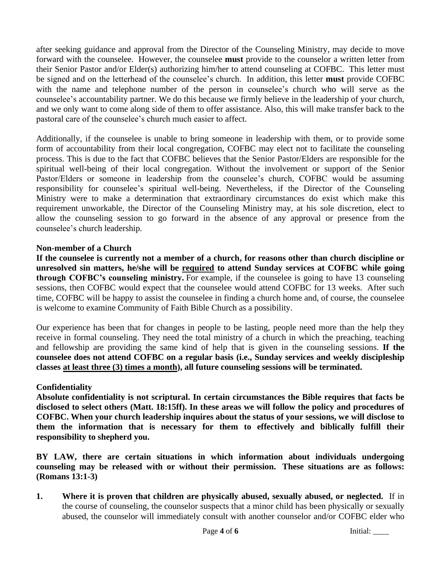after seeking guidance and approval from the Director of the Counseling Ministry, may decide to move forward with the counselee. However, the counselee **must** provide to the counselor a written letter from their Senior Pastor and/or Elder(s) authorizing him/her to attend counseling at COFBC. This letter must be signed and on the letterhead of the counselee's church. In addition, this letter **must** provide COFBC with the name and telephone number of the person in counselee's church who will serve as the counselee's accountability partner. We do this because we firmly believe in the leadership of your church, and we only want to come along side of them to offer assistance. Also, this will make transfer back to the pastoral care of the counselee's church much easier to affect.

Additionally, if the counselee is unable to bring someone in leadership with them, or to provide some form of accountability from their local congregation, COFBC may elect not to facilitate the counseling process. This is due to the fact that COFBC believes that the Senior Pastor/Elders are responsible for the spiritual well-being of their local congregation. Without the involvement or support of the Senior Pastor/Elders or someone in leadership from the counselee's church, COFBC would be assuming responsibility for counselee's spiritual well-being. Nevertheless, if the Director of the Counseling Ministry were to make a determination that extraordinary circumstances do exist which make this requirement unworkable, the Director of the Counseling Ministry may, at his sole discretion, elect to allow the counseling session to go forward in the absence of any approval or presence from the counselee's church leadership.

# **Non-member of a Church**

**If the counselee is currently not a member of a church, for reasons other than church discipline or unresolved sin matters, he/she will be required to attend Sunday services at COFBC while going through COFBC's counseling ministry.** For example, if the counselee is going to have 13 counseling sessions, then COFBC would expect that the counselee would attend COFBC for 13 weeks. After such time, COFBC will be happy to assist the counselee in finding a church home and, of course, the counselee is welcome to examine Community of Faith Bible Church as a possibility.

Our experience has been that for changes in people to be lasting, people need more than the help they receive in formal counseling. They need the total ministry of a church in which the preaching, teaching and fellowship are providing the same kind of help that is given in the counseling sessions. **If the counselee does not attend COFBC on a regular basis (i.e., Sunday services and weekly discipleship classes at least three (3) times a month), all future counseling sessions will be terminated.**

# **Confidentiality**

**Absolute confidentiality is not scriptural. In certain circumstances the Bible requires that facts be disclosed to select others (Matt. 18:15ff). In these areas we will follow the policy and procedures of COFBC. When your church leadership inquires about the status of your sessions, we will disclose to them the information that is necessary for them to effectively and biblically fulfill their responsibility to shepherd you.**

**BY LAW, there are certain situations in which information about individuals undergoing counseling may be released with or without their permission. These situations are as follows: (Romans 13:1-3)**

**1. Where it is proven that children are physically abused, sexually abused, or neglected.** If in the course of counseling, the counselor suspects that a minor child has been physically or sexually abused, the counselor will immediately consult with another counselor and/or COFBC elder who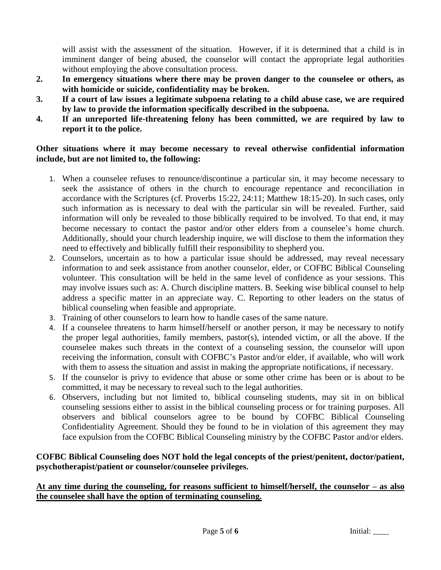will assist with the assessment of the situation. However, if it is determined that a child is in imminent danger of being abused, the counselor will contact the appropriate legal authorities without employing the above consultation process.

- **2. In emergency situations where there may be proven danger to the counselee or others, as with homicide or suicide, confidentiality may be broken.**
- **3. If a court of law issues a legitimate subpoena relating to a child abuse case, we are required by law to provide the information specifically described in the subpoena.**
- **4. If an unreported life-threatening felony has been committed, we are required by law to report it to the police.**

### **Other situations where it may become necessary to reveal otherwise confidential information include, but are not limited to, the following:**

- 1. When a counselee refuses to renounce/discontinue a particular sin, it may become necessary to seek the assistance of others in the church to encourage repentance and reconciliation in accordance with the Scriptures (cf. Proverbs 15:22, 24:11; Matthew 18:15-20). In such cases, only such information as is necessary to deal with the particular sin will be revealed. Further, said information will only be revealed to those biblically required to be involved. To that end, it may become necessary to contact the pastor and/or other elders from a counselee's home church. Additionally, should your church leadership inquire, we will disclose to them the information they need to effectively and biblically fulfill their responsibility to shepherd you.
- 2. Counselors, uncertain as to how a particular issue should be addressed, may reveal necessary information to and seek assistance from another counselor, elder, or COFBC Biblical Counseling volunteer. This consultation will be held in the same level of confidence as your sessions. This may involve issues such as: A. Church discipline matters. B. Seeking wise biblical counsel to help address a specific matter in an appreciate way. C. Reporting to other leaders on the status of biblical counseling when feasible and appropriate.
- 3. Training of other counselors to learn how to handle cases of the same nature.
- 4. If a counselee threatens to harm himself/herself or another person, it may be necessary to notify the proper legal authorities, family members, pastor(s), intended victim, or all the above. If the counselee makes such threats in the context of a counseling session, the counselor will upon receiving the information, consult with COFBC's Pastor and/or elder, if available, who will work with them to assess the situation and assist in making the appropriate notifications, if necessary.
- 5. If the counselor is privy to evidence that abuse or some other crime has been or is about to be committed, it may be necessary to reveal such to the legal authorities.
- 6. Observers, including but not limited to, biblical counseling students, may sit in on biblical counseling sessions either to assist in the biblical counseling process or for training purposes. All observers and biblical counselors agree to be bound by COFBC Biblical Counseling Confidentiality Agreement. Should they be found to be in violation of this agreement they may face expulsion from the COFBC Biblical Counseling ministry by the COFBC Pastor and/or elders.

# **COFBC Biblical Counseling does NOT hold the legal concepts of the priest/penitent, doctor/patient, psychotherapist/patient or counselor/counselee privileges.**

#### **At any time during the counseling, for reasons sufficient to himself/herself, the counselor – as also the counselee shall have the option of terminating counseling.**